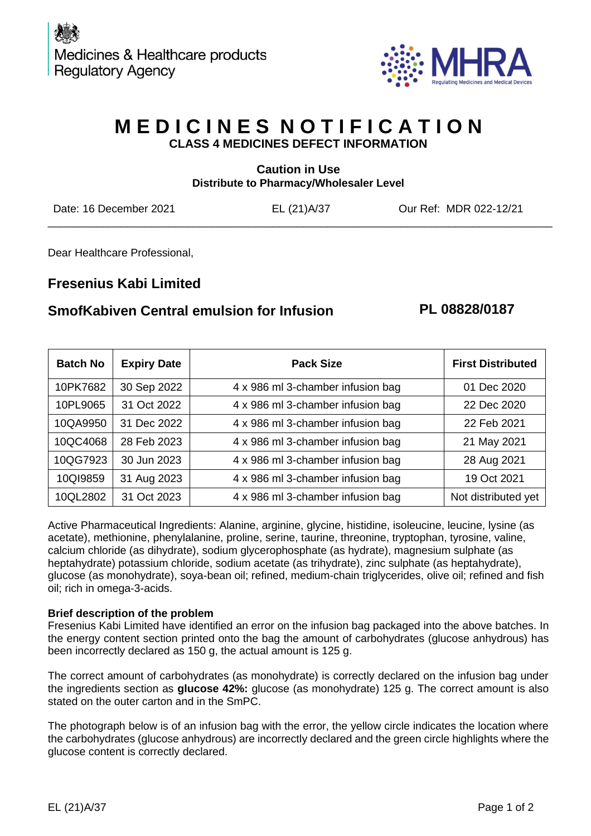

## **M E D I C I N E S N O T I F I C A T I O N CLASS 4 MEDICINES DEFECT INFORMATION**

| <b>Caution in Use</b><br>Distribute to Pharmacy/Wholesaler Level |             |                        |  |  |
|------------------------------------------------------------------|-------------|------------------------|--|--|
| Date: 16 December 2021                                           | EL (21)A/37 | Our Ref: MDR 022-12/21 |  |  |

Dear Healthcare Professional,

## **Fresenius Kabi Limited**

### **SmofKabiven Central emulsion for Infusion PL 08828/0187**

| <b>Batch No</b> | <b>Expiry Date</b> | <b>Pack Size</b>                  | <b>First Distributed</b> |
|-----------------|--------------------|-----------------------------------|--------------------------|
| 10PK7682        | 30 Sep 2022        | 4 x 986 ml 3-chamber infusion bag | 01 Dec 2020              |
| 10PL9065        | 31 Oct 2022        | 4 x 986 ml 3-chamber infusion bag | 22 Dec 2020              |
| 10QA9950        | 31 Dec 2022        | 4 x 986 ml 3-chamber infusion bag | 22 Feb 2021              |
| 10QC4068        | 28 Feb 2023        | 4 x 986 ml 3-chamber infusion bag | 21 May 2021              |
| 10QG7923        | 30 Jun 2023        | 4 x 986 ml 3-chamber infusion bag | 28 Aug 2021              |
| 10QI9859        | 31 Aug 2023        | 4 x 986 ml 3-chamber infusion bag | 19 Oct 2021              |
| 10QL2802        | 31 Oct 2023        | 4 x 986 ml 3-chamber infusion bag | Not distributed yet      |

Active Pharmaceutical Ingredients: Alanine, arginine, glycine, histidine, isoleucine, leucine, lysine (as acetate), methionine, phenylalanine, proline, serine, taurine, threonine, tryptophan, tyrosine, valine, calcium chloride (as dihydrate), sodium glycerophosphate (as hydrate), magnesium sulphate (as heptahydrate) potassium chloride, sodium acetate (as trihydrate), zinc sulphate (as heptahydrate), glucose (as monohydrate), soya-bean oil; refined, medium-chain triglycerides, olive oil; refined and fish oil; rich in omega-3-acids.

#### **Brief description of the problem**

Fresenius Kabi Limited have identified an error on the infusion bag packaged into the above batches. In the energy content section printed onto the bag the amount of carbohydrates (glucose anhydrous) has been incorrectly declared as 150 g, the actual amount is 125 g.

The correct amount of carbohydrates (as monohydrate) is correctly declared on the infusion bag under the ingredients section as **glucose 42%:** glucose (as monohydrate) 125 g. The correct amount is also stated on the outer carton and in the SmPC.

The photograph below is of an infusion bag with the error, the yellow circle indicates the location where the carbohydrates (glucose anhydrous) are incorrectly declared and the green circle highlights where the glucose content is correctly declared.